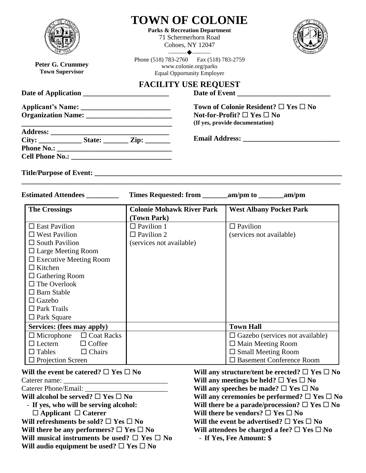|                                                                                                                                                                                                                                                                                                                                                     | <b>TOWN OF COLONIE</b><br><b>Parks &amp; Recreation Department</b><br>71 Schermerhorn Road<br>Cohoes, NY 12047<br>$\begin{tabular}{cccccc} \multicolumn{4}{c }{\textbf{1} & \multicolumn{4}{c }{\textbf{2} & \multicolumn{4}{c }{\textbf{3} & \multicolumn{4}{c }{\textbf{4} & \multicolumn{4}{c }{\textbf{5} & \multicolumn{4}{c }{\textbf{6} & \multicolumn{4}{c }{\textbf{6} & \multicolumn{4}{c }{\textbf{6} & \multicolumn{4}{c }{\textbf{6} & \multicolumn{4}{c }{\textbf{6} & \multicolumn{4}{c }{\textbf{6} & \multicolumn{4}{c }{\textbf{6} & \multicolumn{4}{$ |                                                                                                                                                                                                                                                                                                                                                                                                                                                         |  |
|-----------------------------------------------------------------------------------------------------------------------------------------------------------------------------------------------------------------------------------------------------------------------------------------------------------------------------------------------------|--------------------------------------------------------------------------------------------------------------------------------------------------------------------------------------------------------------------------------------------------------------------------------------------------------------------------------------------------------------------------------------------------------------------------------------------------------------------------------------------------------------------------------------------------------------------------|---------------------------------------------------------------------------------------------------------------------------------------------------------------------------------------------------------------------------------------------------------------------------------------------------------------------------------------------------------------------------------------------------------------------------------------------------------|--|
| Peter G. Crummey<br><b>Town Supervisor</b>                                                                                                                                                                                                                                                                                                          | Phone (518) 783-2760 Fax (518) 783-2759<br>www.colonie.org/parks<br><b>Equal Opportunity Employer</b>                                                                                                                                                                                                                                                                                                                                                                                                                                                                    |                                                                                                                                                                                                                                                                                                                                                                                                                                                         |  |
| Date of Application                                                                                                                                                                                                                                                                                                                                 | <b>FACILITY USE REQUEST</b>                                                                                                                                                                                                                                                                                                                                                                                                                                                                                                                                              | Date of Event                                                                                                                                                                                                                                                                                                                                                                                                                                           |  |
| <u> 2000 - 2000 - 2000 - 2000 - 2000 - 2000 - 2000 - 2000 - 2000 - 2000 - 2000 - 2000 - 2000 - 2000 - 2000 - 200</u>                                                                                                                                                                                                                                |                                                                                                                                                                                                                                                                                                                                                                                                                                                                                                                                                                          | Town of Colonie Resident? $\Box$ Yes $\Box$ No<br>Not-for-Profit? $\square$ Yes $\square$ No<br>(If yes, provide documentation)                                                                                                                                                                                                                                                                                                                         |  |
| City: State: Zip:                                                                                                                                                                                                                                                                                                                                   |                                                                                                                                                                                                                                                                                                                                                                                                                                                                                                                                                                          |                                                                                                                                                                                                                                                                                                                                                                                                                                                         |  |
|                                                                                                                                                                                                                                                                                                                                                     |                                                                                                                                                                                                                                                                                                                                                                                                                                                                                                                                                                          |                                                                                                                                                                                                                                                                                                                                                                                                                                                         |  |
| Estimated Attendees _________                                                                                                                                                                                                                                                                                                                       |                                                                                                                                                                                                                                                                                                                                                                                                                                                                                                                                                                          |                                                                                                                                                                                                                                                                                                                                                                                                                                                         |  |
| <b>The Crossings</b>                                                                                                                                                                                                                                                                                                                                | <b>Colonie Mohawk River Park</b><br>(Town Park)                                                                                                                                                                                                                                                                                                                                                                                                                                                                                                                          | <b>West Albany Pocket Park</b>                                                                                                                                                                                                                                                                                                                                                                                                                          |  |
| $\square$ East Pavilion<br>$\Box$ West Pavilion<br>$\Box$ South Pavilion<br>$\Box$ Large Meeting Room<br>$\Box$ Executive Meeting Room<br>$\Box$ Kitchen<br>$\Box$ Gathering Room<br>$\Box$ The Overlook<br>$\Box$ Barn Stable<br>$\Box$ Gazebo<br>$\Box$ Park Trails<br>$\Box$ Park Square<br>Services: (fees may apply)                           | $\Box$ Pavilion 1<br>$\Box$ Pavilion 2<br>(services not available)                                                                                                                                                                                                                                                                                                                                                                                                                                                                                                       | $\Box$ Pavilion<br>(services not available)<br><b>Town Hall</b>                                                                                                                                                                                                                                                                                                                                                                                         |  |
| $\Box$ Microphone<br>$\Box$ Coat Racks<br>$\Box$ Coffee<br>$\Box$ Lectern<br>$\Box$ Tables<br>$\Box$ Chairs<br>$\Box$ Projection Screen                                                                                                                                                                                                             |                                                                                                                                                                                                                                                                                                                                                                                                                                                                                                                                                                          | $\Box$ Gazebo (services not available)<br>$\Box$ Main Meeting Room<br>$\square$ Small Meeting Room<br>□ Basement Conference Room                                                                                                                                                                                                                                                                                                                        |  |
| Will the event be catered? $\square$ Yes $\square$ No<br>Caterer name:<br>Caterer Phone/Email: __<br>Will alcohol be served? $\square$ Yes $\square$ No<br>- If yes, who will be serving alcohol:<br>$\Box$ Applicant $\Box$ Caterer<br>Will refreshments be sold? $\Box$ Yes $\Box$ No<br>Will there be any performers? $\square$ Yes $\square$ No |                                                                                                                                                                                                                                                                                                                                                                                                                                                                                                                                                                          | Will any structure/tent be erected? $\Box$ Yes $\Box$ No<br>Will any meetings be held? $\Box$ Yes $\Box$ No<br>Will any speeches be made? $\Box$ Yes $\Box$ No<br>Will any ceremonies be performed? $\Box$ Yes $\Box$ No<br>Will there be a parade/procession? $\Box$ Yes $\Box$ No<br>Will there be vendors? $\Box$ Yes $\Box$ No<br>Will the event be advertised? $\square$ Yes $\square$ No<br>Will attendees be charged a fee? $\Box$ Yes $\Box$ No |  |

**Will musical instruments be used?**  $\Box$  **Yes**  $\Box$  **No** 

**Will audio equipment be used?**  $\Box$  **Yes**  $\Box$  **No** 

- **If Yes, Fee Amount: \$**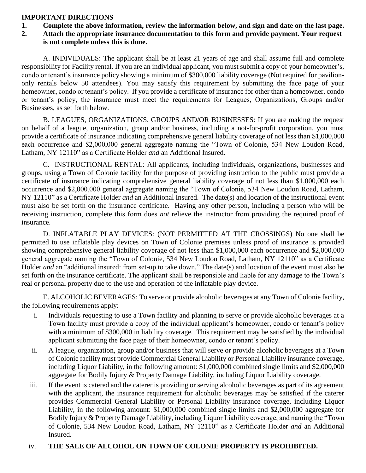## **IMPORTANT DIRECTIONS –**

**1. Complete the above information, review the information below, and sign and date on the last page.** 

## **2. Attach the appropriate insurance documentation to this form and provide payment. Your request is not complete unless this is done.**

A. INDIVIDUALS: The applicant shall be at least 21 years of age and shall assume full and complete responsibility for Facility rental. If you are an individual applicant, you must submit a copy of your homeowner's, condo or tenant's insurance policy showing a minimum of \$300,000 liability coverage (Not required for paviliononly rentals below 50 attendees). You may satisfy this requirement by submitting the face page of your homeowner, condo or tenant's policy. If you provide a certificate of insurance for other than a homeowner, condo or tenant's policy, the insurance must meet the requirements for Leagues, Organizations, Groups and/or Businesses, as set forth below.

B. LEAGUES, ORGANIZATIONS, GROUPS AND/OR BUSINESSES: If you are making the request on behalf of a league, organization, group and/or business, including a not-for-profit corporation, you must provide a certificate of insurance indicating comprehensive general liability coverage of not less than \$1,000,000 each occurrence and \$2,000,000 general aggregate naming the "Town of Colonie, 534 New Loudon Road, Latham, NY 12110" as a Certificate Holder *and* an Additional Insured.

C. INSTRUCTIONAL RENTAL: All applicants, including individuals, organizations, businesses and groups, using a Town of Colonie facility for the purpose of providing instruction to the public must provide a certificate of insurance indicating comprehensive general liability coverage of not less than \$1,000,000 each occurrence and \$2,000,000 general aggregate naming the "Town of Colonie, 534 New Loudon Road, Latham, NY 12110" as a Certificate Holder *and* an Additional Insured. The date(s) and location of the instructional event must also be set forth on the insurance certificate. Having any other person, including a person who will be receiving instruction, complete this form does *not* relieve the instructor from providing the required proof of insurance.

D. INFLATABLE PLAY DEVICES: (NOT PERMITTED AT THE CROSSINGS) No one shall be permitted to use inflatable play devices on Town of Colonie premises unless proof of insurance is provided showing comprehensive general liability coverage of not less than \$1,000,000 each occurrence and \$2,000,000 general aggregate naming the "Town of Colonie, 534 New Loudon Road, Latham, NY 12110" as a Certificate Holder *and* an "additional insured: from set-up to take down." The date(s) and location of the event must also be set forth on the insurance certificate. The applicant shall be responsible and liable for any damage to the Town's real or personal property due to the use and operation of the inflatable play device.

E. ALCOHOLIC BEVERAGES: To serve or provide alcoholic beverages at any Town of Colonie facility, the following requirements apply:

- i. Individuals requesting to use a Town facility and planning to serve or provide alcoholic beverages at a Town facility must provide a copy of the individual applicant's homeowner, condo or tenant's policy with a minimum of \$300,000 in liability coverage. This requirement may be satisfied by the individual applicant submitting the face page of their homeowner, condo or tenant's policy.
- ii. A league, organization, group and/or business that will serve or provide alcoholic beverages at a Town of Colonie facility must provide Commercial General Liability or Personal Liability insurance coverage, including Liquor Liability, in the following amount: \$1,000,000 combined single limits and \$2,000,000 aggregate for Bodily Injury & Property Damage Liability, including Liquor Liability coverage.
- iii. If the event is catered and the caterer is providing or serving alcoholic beverages as part of its agreement with the applicant, the insurance requirement for alcoholic beverages may be satisfied if the caterer provides Commercial General Liability or Personal Liability insurance coverage, including Liquor Liability, in the following amount: \$1,000,000 combined single limits and \$2,000,000 aggregate for Bodily Injury & Property Damage Liability, including Liquor Liability coverage, and naming the "Town of Colonie, 534 New Loudon Road, Latham, NY 12110" as a Certificate Holder *and* an Additional Insured.

## iv. **THE SALE OF ALCOHOL ON TOWN OF COLONIE PROPERTY IS PROHIBITED.**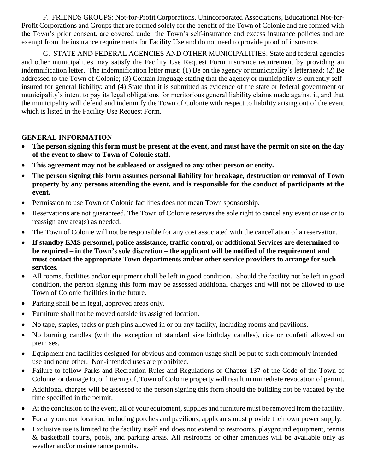F. FRIENDS GROUPS: Not-for-Profit Corporations, Unincorporated Associations, Educational Not-for-Profit Corporations and Groups that are formed solely for the benefit of the Town of Colonie and are formed with the Town's prior consent, are covered under the Town's self-insurance and excess insurance policies and are exempt from the insurance requirements for Facility Use and do not need to provide proof of insurance.

G. STATE AND FEDERAL AGENCIES AND OTHER MUNICIPALITIES: State and federal agencies and other municipalities may satisfy the Facility Use Request Form insurance requirement by providing an indemnification letter. The indemnification letter must: (1) Be on the agency or municipality's letterhead; (2) Be addressed to the Town of Colonie; (3) Contain language stating that the agency or municipality is currently selfinsured for general liability; and (4) State that it is submitted as evidence of the state or federal government or municipality's intent to pay its legal obligations for meritorious general liability claims made against it, and that the municipality will defend and indemnify the Town of Colonie with respect to liability arising out of the event which is listed in the Facility Use Request Form.

## **GENERAL INFORMATION –**

- **The person signing this form must be present at the event, and must have the permit on site on the day of the event to show to Town of Colonie staff.**
- **This agreement may not be subleased or assigned to any other person or entity.**
- **The person signing this form assumes personal liability for breakage, destruction or removal of Town property by any persons attending the event, and is responsible for the conduct of participants at the event.**
- Permission to use Town of Colonie facilities does not mean Town sponsorship.
- Reservations are not guaranteed. The Town of Colonie reserves the sole right to cancel any event or use or to reassign any area(s) as needed.
- The Town of Colonie will not be responsible for any cost associated with the cancellation of a reservation.
- **If standby EMS personnel, police assistance, traffic control, or additional Services are determined to be required – in the Town's sole discretion – the applicant will be notified of the requirement and must contact the appropriate Town departments and/or other service providers to arrange for such services.**
- All rooms, facilities and/or equipment shall be left in good condition. Should the facility not be left in good condition, the person signing this form may be assessed additional charges and will not be allowed to use Town of Colonie facilities in the future.
- Parking shall be in legal, approved areas only.
- Furniture shall not be moved outside its assigned location.
- No tape, staples, tacks or push pins allowed in or on any facility, including rooms and pavilions.
- No burning candles (with the exception of standard size birthday candles), rice or confetti allowed on premises.
- Equipment and facilities designed for obvious and common usage shall be put to such commonly intended use and none other. Non-intended uses are prohibited.
- Failure to follow Parks and Recreation Rules and Regulations or Chapter 137 of the Code of the Town of Colonie, or damage to, or littering of, Town of Colonie property will result in immediate revocation of permit.
- Additional charges will be assessed to the person signing this form should the building not be vacated by the time specified in the permit.
- At the conclusion of the event, all of your equipment, supplies and furniture must be removed from the facility.
- For any outdoor location, including porches and pavilions, applicants must provide their own power supply.
- Exclusive use is limited to the facility itself and does not extend to restrooms, playground equipment, tennis & basketball courts, pools, and parking areas. All restrooms or other amenities will be available only as weather and/or maintenance permits.